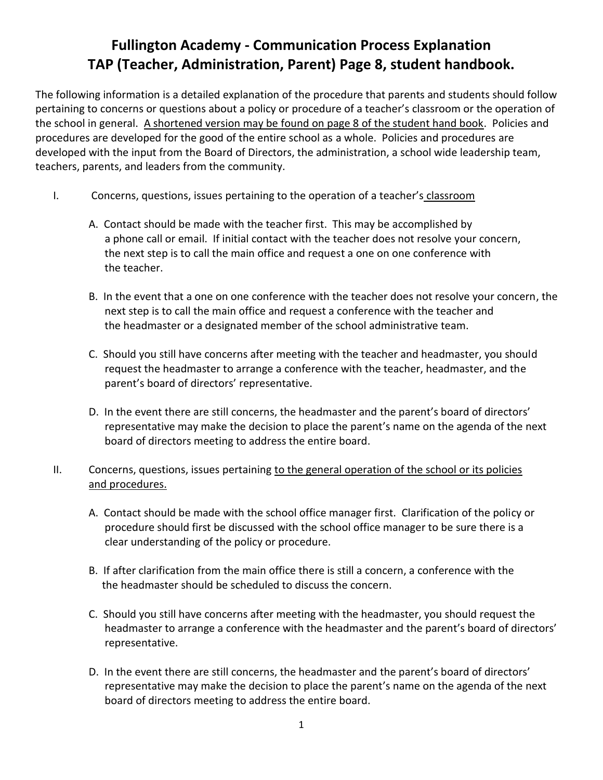## **Fullington Academy - Communication Process Explanation TAP (Teacher, Administration, Parent) Page 8, student handbook.**

The following information is a detailed explanation of the procedure that parents and students should follow pertaining to concerns or questions about a policy or procedure of a teacher's classroom or the operation of the school in general. A shortened version may be found on page 8 of the student hand book. Policies and procedures are developed for the good of the entire school as a whole. Policies and procedures are developed with the input from the Board of Directors, the administration, a school wide leadership team, teachers, parents, and leaders from the community.

- I. Concerns, questions, issues pertaining to the operation of a teacher's classroom
	- A. Contact should be made with the teacher first. This may be accomplished by a phone call or email. If initial contact with the teacher does not resolve your concern, the next step is to call the main office and request a one on one conference with the teacher.
	- B. In the event that a one on one conference with the teacher does not resolve your concern, the next step is to call the main office and request a conference with the teacher and the headmaster or a designated member of the school administrative team.
	- C. Should you still have concerns after meeting with the teacher and headmaster, you should request the headmaster to arrange a conference with the teacher, headmaster, and the parent's board of directors' representative.
	- D. In the event there are still concerns, the headmaster and the parent's board of directors' representative may make the decision to place the parent's name on the agenda of the next board of directors meeting to address the entire board.
- II. Concerns, questions, issues pertaining to the general operation of the school or its policies and procedures.
	- A. Contact should be made with the school office manager first. Clarification of the policy or procedure should first be discussed with the school office manager to be sure there is a clear understanding of the policy or procedure.
	- B. If after clarification from the main office there is still a concern, a conference with the the headmaster should be scheduled to discuss the concern.
	- C. Should you still have concerns after meeting with the headmaster, you should request the headmaster to arrange a conference with the headmaster and the parent's board of directors' representative.
	- D. In the event there are still concerns, the headmaster and the parent's board of directors' representative may make the decision to place the parent's name on the agenda of the next board of directors meeting to address the entire board.